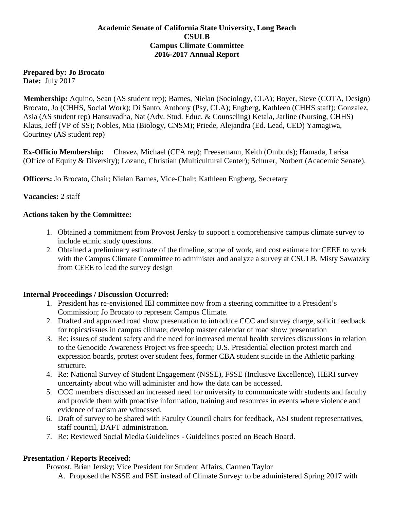## **Academic Senate of California State University, Long Beach CSULB Campus Climate Committee 2016-2017 Annual Report**

## **Prepared by: Jo Brocato**

**Date:** July 2017

**Membership:** Aquino, Sean (AS student rep); Barnes, Nielan (Sociology, CLA); Boyer, Steve (COTA, Design) Brocato, Jo (CHHS, Social Work); Di Santo, Anthony (Psy, CLA); Engberg, Kathleen (CHHS staff); Gonzalez, Asia (AS student rep) Hansuvadha, Nat (Adv. Stud. Educ. & Counseling) Ketala, Jarline (Nursing, CHHS) Klaus, Jeff (VP of SS); Nobles, Mia (Biology, CNSM); Priede, Alejandra (Ed. Lead, CED) Yamagiwa, Courtney (AS student rep)

**Ex-Officio Membership:** Chavez, Michael (CFA rep); Freesemann, Keith (Ombuds); Hamada, Larisa (Office of Equity & Diversity); Lozano, Christian (Multicultural Center); Schurer, Norbert (Academic Senate).

**Officers:** Jo Brocato, Chair; Nielan Barnes, Vice-Chair; Kathleen Engberg, Secretary

## **Vacancies:** 2 staff

### **Actions taken by the Committee:**

- 1. Obtained a commitment from Provost Jersky to support a comprehensive campus climate survey to include ethnic study questions.
- 2. Obtained a preliminary estimate of the timeline, scope of work, and cost estimate for CEEE to work with the Campus Climate Committee to administer and analyze a survey at CSULB. Misty Sawatzky from CEEE to lead the survey design

## **Internal Proceedings / Discussion Occurred:**

- 1. President has re-envisioned IEI committee now from a steering committee to a President's Commission; Jo Brocato to represent Campus Climate.
- 2. Drafted and approved road show presentation to introduce CCC and survey charge, solicit feedback for topics/issues in campus climate; develop master calendar of road show presentation
- 3. Re: issues of student safety and the need for increased mental health services discussions in relation to the Genocide Awareness Project vs free speech; U.S. Presidential election protest march and expression boards, protest over student fees, former CBA student suicide in the Athletic parking structure.
- 4. Re: National Survey of Student Engagement (NSSE), FSSE (Inclusive Excellence), HERI survey uncertainty about who will administer and how the data can be accessed.
- 5. CCC members discussed an increased need for university to communicate with students and faculty and provide them with proactive information, training and resources in events where violence and evidence of racism are witnessed.
- 6. Draft of survey to be shared with Faculty Council chairs for feedback, ASI student representatives, staff council, DAFT administration.
- 7. Re: Reviewed Social Media Guidelines Guidelines posted on Beach Board.

#### **Presentation / Reports Received:**

Provost, Brian Jersky; Vice President for Student Affairs, Carmen Taylor

A. Proposed the NSSE and FSE instead of Climate Survey: to be administered Spring 2017 with